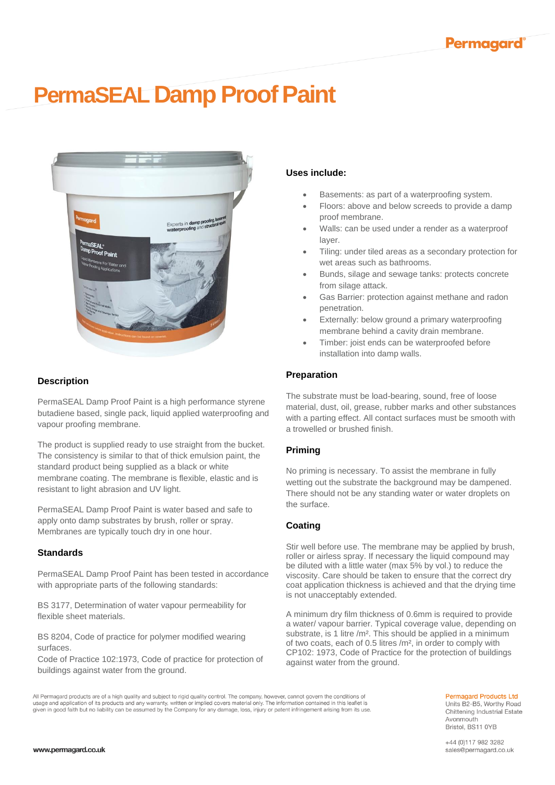# **PermaSEAL Damp Proof Paint**



## **Description**

PermaSEAL Damp Proof Paint is a high performance styrene butadiene based, single pack, liquid applied waterproofing and vapour proofing membrane.

The product is supplied ready to use straight from the bucket. The consistency is similar to that of thick emulsion paint, the standard product being supplied as a black or white membrane coating. The membrane is flexible, elastic and is resistant to light abrasion and UV light.

PermaSEAL Damp Proof Paint is water based and safe to apply onto damp substrates by brush, roller or spray. Membranes are typically touch dry in one hour.

## **Standards**

PermaSEAL Damp Proof Paint has been tested in accordance with appropriate parts of the following standards:

BS 3177, Determination of water vapour permeability for flexible sheet materials.

BS 8204, Code of practice for polymer modified wearing surfaces.

Code of Practice 102:1973, Code of practice for protection of buildings against water from the ground.

# **Uses include:**

- Basements: as part of a waterproofing system.
- Floors: above and below screeds to provide a damp proof membrane.
- Walls: can be used under a render as a waterproof layer.
- Tiling: under tiled areas as a secondary protection for wet areas such as bathrooms.
- Bunds, silage and sewage tanks: protects concrete from silage attack.
- Gas Barrier: protection against methane and radon penetration.
- Externally: below ground a primary waterproofing membrane behind a cavity drain membrane.
- Timber: joist ends can be waterproofed before installation into damp walls.

## **Preparation**

The substrate must be load-bearing, sound, free of loose material, dust, oil, grease, rubber marks and other substances with a parting effect. All contact surfaces must be smooth with a trowelled or brushed finish.

## **Priming**

No priming is necessary. To assist the membrane in fully wetting out the substrate the background may be dampened. There should not be any standing water or water droplets on the surface.

## **Coating**

Stir well before use. The membrane may be applied by brush, roller or airless spray. If necessary the liquid compound may be diluted with a little water (max 5% by vol.) to reduce the viscosity. Care should be taken to ensure that the correct dry coat application thickness is achieved and that the drying time is not unacceptably extended.

A minimum dry film thickness of 0.6mm is required to provide a water/ vapour barrier. Typical coverage value, depending on substrate, is 1 litre /m<sup>2</sup>. This should be applied in a minimum of two coats, each of 0.5 litres /m², in order to comply with CP102: 1973, Code of Practice for the protection of buildings against water from the ground.

All Permagard products are of a high quality and subject to rigid quality control. The company, however, cannot govern the conditions of usage and application of its products and any warranty, written or implied covers material only. The information contained in this leaflet is given in good faith but no liability can be assumed by the Company for any damag

# **Permagard Products Ltd**

Units B2-B5, Worthy Road Chittening Industrial Estate Avonmouth Bristol, BS11 0YB

+44 (0)117 982 3282 sales@permagard.co.uk